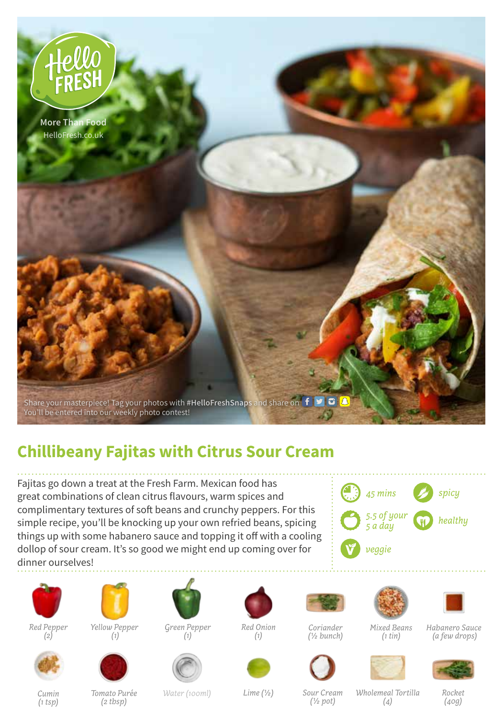

## **Chillibeany Fajitas with Citrus Sour Cream**

Fajitas go down a treat at the Fresh Farm. Mexican food has great combinations of clean citrus flavours, warm spices and complimentary textures of soft beans and crunchy peppers. For this simple recipe, you'll be knocking up your own refried beans, spicing things up with some habanero sauce and topping it off with a cooling dollop of sour cream. It's so good we might end up coming over for dinner ourselves!









 *(1)*



*Green Pepper*



*(1)*

*Red Onion* 



*Coriander (½ bunch)*

*Mixed Beans* 



*Habanero Sauce (a few drops)*



*(1 tsp)*

*Tomato Purée (2 tbsp)*

*Cumin Water (100ml)*

*Lime (½) Rocket Wholemeal Tortilla Sour Cream (½ pot)*

*(4)*

*(1 tin)*

*(40g)*